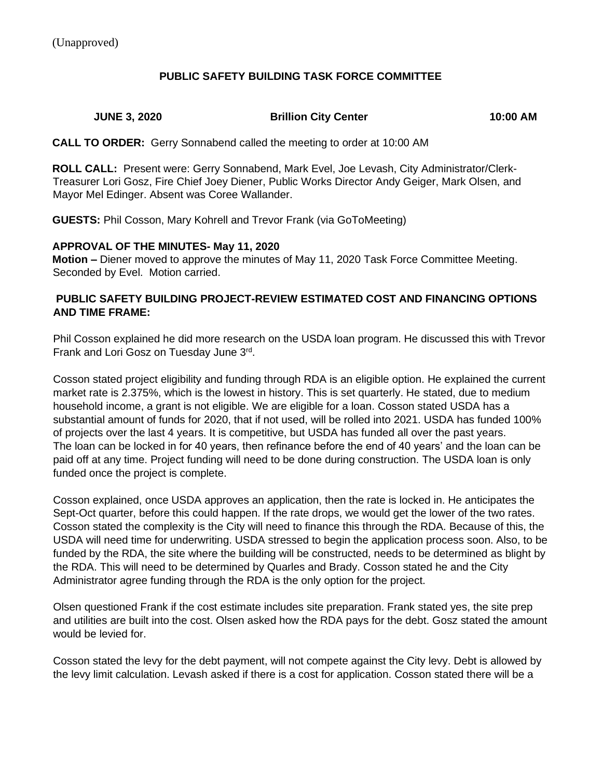### **PUBLIC SAFETY BUILDING TASK FORCE COMMITTEE**

## **JUNE 3, 2020 Brillion City Center 10:00 AM**

**CALL TO ORDER:** Gerry Sonnabend called the meeting to order at 10:00 AM

**ROLL CALL:** Present were: Gerry Sonnabend, Mark Evel, Joe Levash, City Administrator/Clerk-Treasurer Lori Gosz, Fire Chief Joey Diener, Public Works Director Andy Geiger, Mark Olsen, and Mayor Mel Edinger. Absent was Coree Wallander.

**GUESTS:** Phil Cosson, Mary Kohrell and Trevor Frank (via GoToMeeting)

### **APPROVAL OF THE MINUTES- May 11, 2020**

**Motion –** Diener moved to approve the minutes of May 11, 2020 Task Force Committee Meeting. Seconded by Evel. Motion carried.

### **PUBLIC SAFETY BUILDING PROJECT-REVIEW ESTIMATED COST AND FINANCING OPTIONS AND TIME FRAME:**

Phil Cosson explained he did more research on the USDA loan program. He discussed this with Trevor Frank and Lori Gosz on Tuesday June 3rd.

Cosson stated project eligibility and funding through RDA is an eligible option. He explained the current market rate is 2.375%, which is the lowest in history. This is set quarterly. He stated, due to medium household income, a grant is not eligible. We are eligible for a loan. Cosson stated USDA has a substantial amount of funds for 2020, that if not used, will be rolled into 2021. USDA has funded 100% of projects over the last 4 years. It is competitive, but USDA has funded all over the past years. The loan can be locked in for 40 years, then refinance before the end of 40 years' and the loan can be paid off at any time. Project funding will need to be done during construction. The USDA loan is only funded once the project is complete.

Cosson explained, once USDA approves an application, then the rate is locked in. He anticipates the Sept-Oct quarter, before this could happen. If the rate drops, we would get the lower of the two rates. Cosson stated the complexity is the City will need to finance this through the RDA. Because of this, the USDA will need time for underwriting. USDA stressed to begin the application process soon. Also, to be funded by the RDA, the site where the building will be constructed, needs to be determined as blight by the RDA. This will need to be determined by Quarles and Brady. Cosson stated he and the City Administrator agree funding through the RDA is the only option for the project.

Olsen questioned Frank if the cost estimate includes site preparation. Frank stated yes, the site prep and utilities are built into the cost. Olsen asked how the RDA pays for the debt. Gosz stated the amount would be levied for.

Cosson stated the levy for the debt payment, will not compete against the City levy. Debt is allowed by the levy limit calculation. Levash asked if there is a cost for application. Cosson stated there will be a